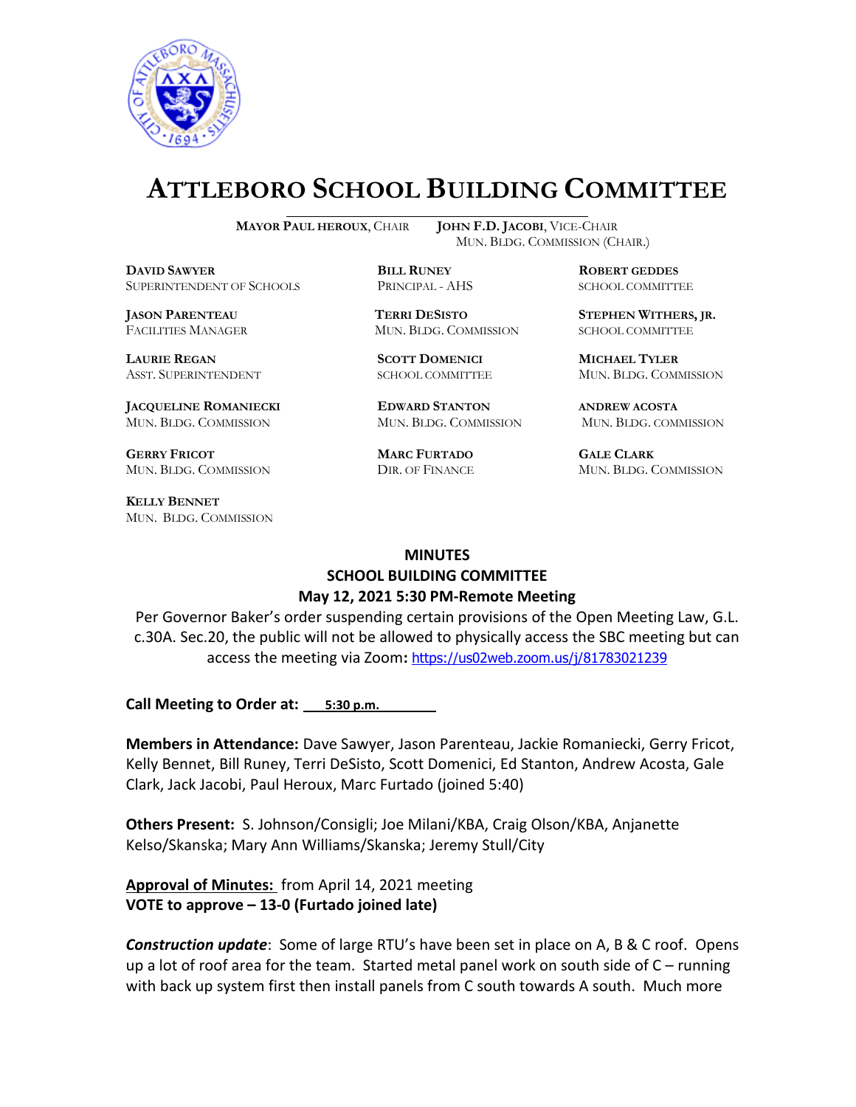

# **ATTLEBORO SCHOOL BUILDING COMMITTEE**

 $\overline{a}$ 

**DAVID SAWYER BILL RUNEY ROBERT GEDDES** SUPERINTENDENT OF SCHOOLS PRINCIPAL - AHS SCHOOL COMMITTEE

**LAURIE REGAN SCOTT DOMENICI MICHAEL TYLER**

**JACQUELINE ROMANIECKI EDWARD STANTON ANDREW ACOSTA** MUN. BLDG. COMMISSION MUN. BLDG. COMMISSION MUN. BLDG. COMMISSION

**GERRY FRICOT MARC FURTADO GALE CLARK** MUN. BLDG. COMMISSION DIR. OF FINANCE MUN. BLDG. COMMISSION

**KELLY BENNET** MUN. BLDG. COMMISSION

**MAYOR PAUL HEROUX**, CHAIR **JOHN F.D. JACOBI**, VICE-CHAIR MUN. BLDG. COMMISSION (CHAIR.)

**JASON PARENTEAU TERRI DESISTO STEPHEN WITHERS, JR.** FACILITIES MANAGER MUN. BLDG. COMMISSION SCHOOL COMMITTEE

ASST. SUPERINTENDENT SCHOOL COMMITTEE MUN. BLDG. COMMISSION

### **MINUTES SCHOOL BUILDING COMMITTEE May 12, 2021 5:30 PM-Remote Meeting**

Per Governor Baker's order suspending certain provisions of the Open Meeting Law, G.L. c.30A. Sec.20, the public will not be allowed to physically access the SBC meeting but can access the meeting via Zoom**:** <https://us02web.zoom.us/j/81783021239>

**Call Meeting to Order at: 5:30 p.m.** 

**Members in Attendance:** Dave Sawyer, Jason Parenteau, Jackie Romaniecki, Gerry Fricot, Kelly Bennet, Bill Runey, Terri DeSisto, Scott Domenici, Ed Stanton, Andrew Acosta, Gale Clark, Jack Jacobi, Paul Heroux, Marc Furtado (joined 5:40)

**Others Present:** S. Johnson/Consigli; Joe Milani/KBA, Craig Olson/KBA, Anjanette Kelso/Skanska; Mary Ann Williams/Skanska; Jeremy Stull/City

**Approval of Minutes:** from April 14, 2021 meeting **VOTE to approve – 13-0 (Furtado joined late)**

*Construction update*: Some of large RTU's have been set in place on A, B & C roof. Opens up a lot of roof area for the team. Started metal panel work on south side of C – running with back up system first then install panels from C south towards A south. Much more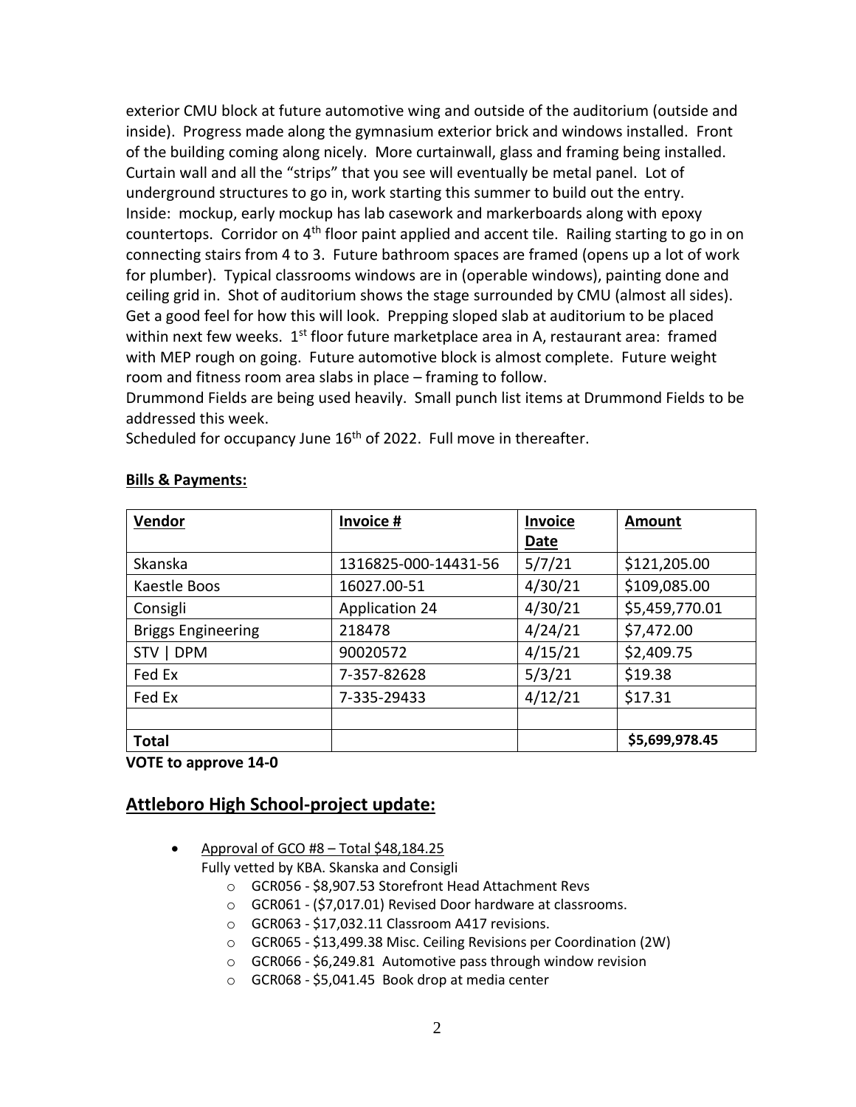exterior CMU block at future automotive wing and outside of the auditorium (outside and inside). Progress made along the gymnasium exterior brick and windows installed. Front of the building coming along nicely. More curtainwall, glass and framing being installed. Curtain wall and all the "strips" that you see will eventually be metal panel. Lot of underground structures to go in, work starting this summer to build out the entry. Inside: mockup, early mockup has lab casework and markerboards along with epoxy countertops. Corridor on 4<sup>th</sup> floor paint applied and accent tile. Railing starting to go in on connecting stairs from 4 to 3. Future bathroom spaces are framed (opens up a lot of work for plumber). Typical classrooms windows are in (operable windows), painting done and ceiling grid in. Shot of auditorium shows the stage surrounded by CMU (almost all sides). Get a good feel for how this will look. Prepping sloped slab at auditorium to be placed within next few weeks.  $1<sup>st</sup>$  floor future marketplace area in A, restaurant area: framed with MEP rough on going. Future automotive block is almost complete. Future weight room and fitness room area slabs in place – framing to follow.

Drummond Fields are being used heavily. Small punch list items at Drummond Fields to be addressed this week.

Scheduled for occupancy June 16<sup>th</sup> of 2022. Full move in thereafter.

| <b>Vendor</b>             | Invoice #             | <b>Invoice</b> | <b>Amount</b>  |
|---------------------------|-----------------------|----------------|----------------|
|                           |                       | Date           |                |
| Skanska                   | 1316825-000-14431-56  | 5/7/21         | \$121,205.00   |
| Kaestle Boos              | 16027.00-51           | 4/30/21        | \$109,085.00   |
| Consigli                  | <b>Application 24</b> | 4/30/21        | \$5,459,770.01 |
| <b>Briggs Engineering</b> | 218478                | 4/24/21        | \$7,472.00     |
| STV   DPM                 | 90020572              | 4/15/21        | \$2,409.75     |
| Fed Ex                    | 7-357-82628           | 5/3/21         | \$19.38        |
| Fed Ex                    | 7-335-29433           | 4/12/21        | \$17.31        |
|                           |                       |                |                |
| <b>Total</b>              |                       |                | \$5,699,978.45 |

#### **Bills & Payments:**

**VOTE to approve 14-0**

## **Attleboro High School-project update:**

- Approval of GCO #8 Total \$48,184.25 Fully vetted by KBA. Skanska and Consigli
	- o GCR056 \$8,907.53 Storefront Head Attachment Revs
	- o GCR061 (\$7,017.01) Revised Door hardware at classrooms.
	- o GCR063 \$17,032.11 Classroom A417 revisions.
	- o GCR065 \$13,499.38 Misc. Ceiling Revisions per Coordination (2W)
	- o GCR066 \$6,249.81 Automotive pass through window revision
	- o GCR068 \$5,041.45 Book drop at media center